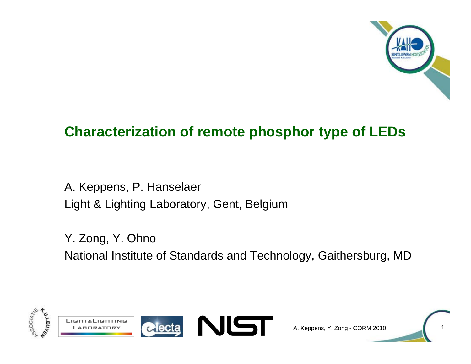

## **Characterization of remote phosphor type of LEDs**

A. Keppens, P. Hanselaer Light & Lighting Laboratory, Gent, Belgium

Y. Zong, Y. Ohno National Institute of Standards and Technology, Gaithersburg, MD



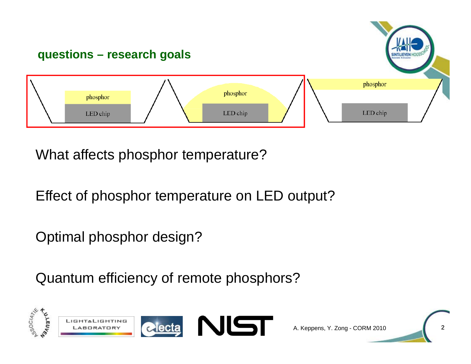

What affects phosphor temperature?

Effect of phosphor temperature on LED output?

Optimal phosphor design?

Quantum efficiency of remote phosphors?

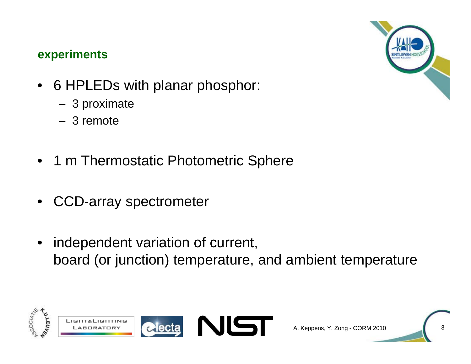#### **experiments**



- 6 HPLEDs with planar phosphor:
	- –3 proximate
	- 3 remote
- 1 <sup>m</sup> Thermostatic Photometric Sphere
- •CCD-array spectrometer
- • independent variation of current, board (or junction) temperature, and ambient temperature

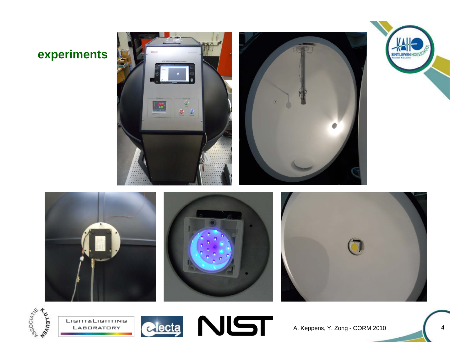## **experiments**









SINTLIEVEN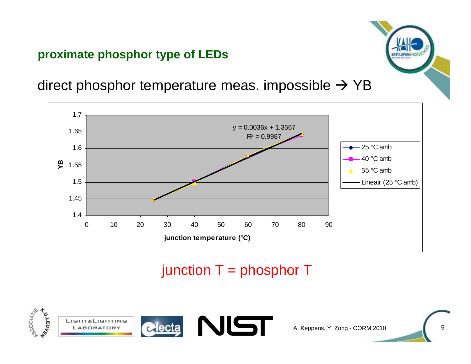### **proximate phosphor type of LEDs**



direct phosphor temperature meas. impossible  $\rightarrow$  YB



# junction  $T =$  phosphor  $T$

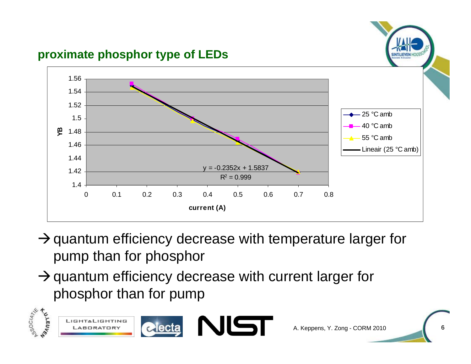

- $\rightarrow$  quantum efficiency decrease with temperature larger for pump than for phosphor
- $\rightarrow$  quantum efficiency decrease with current larger for phosphor than for pump

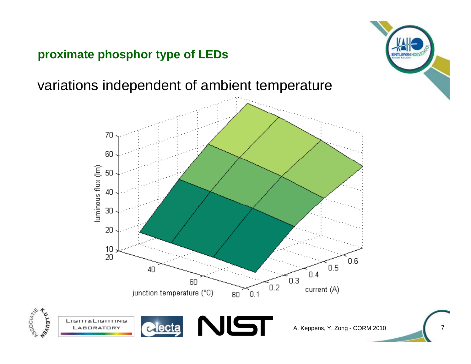#### **proximate phosphor type of LEDs**

**650CIATE** 

**REULE** 

variations independent of ambient temperature



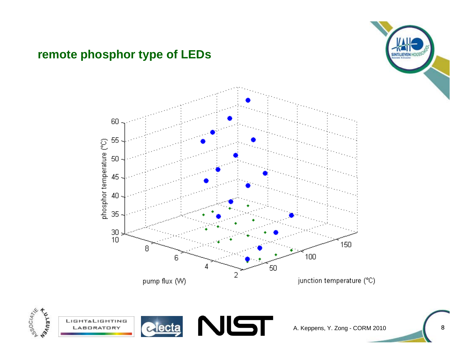### **remote phosphor type of LEDs**





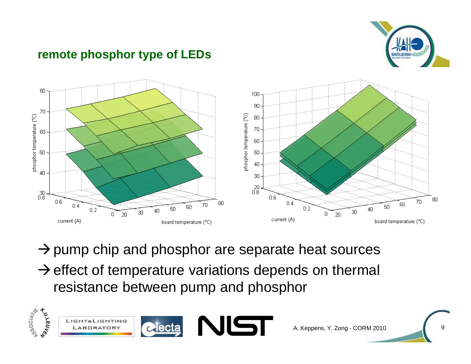

#### **remote phosphor type of LEDs**



 $\rightarrow$  pump chip and phosphor are separate heat sources  $\rightarrow$  effect of temperature variations depends on thermal resistance between pump and phosphor

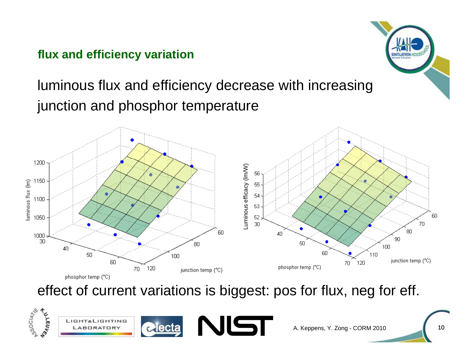## **flux and efficiency variation**

# luminous flux and efficiency decrease with increasing junction and phosphor temperature



effect of current variations is biggest: pos for flux, neg for eff.



A. Keppens, Y. Zong - CORM 2010

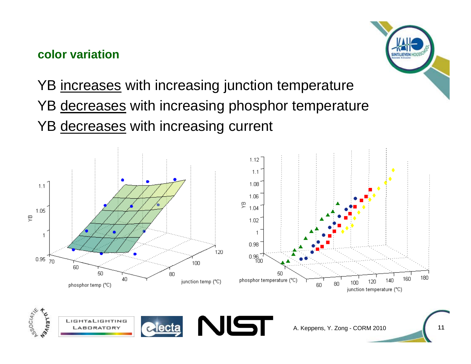### **color variation**



YB <u>increases</u> with increasing junction temperature YB <u>decreases</u> with increasing phosphor temperature YB <u>decreases</u> with increasing current

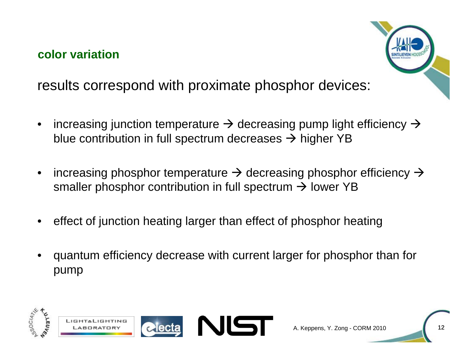### **color variation**



results correspond with proximate phosphor devices:

- •increasing junction temperature  $\rightarrow$  decreasing pump light efficiency  $\rightarrow$ blue contribution in full spectrum decreases  $\rightarrow$  higher YB
- •increasing phosphor temperature  $\rightarrow$  decreasing phosphor efficiency  $\rightarrow$ smaller phosphor contribution in full spectrum  $\rightarrow$  lower YB
- •effect of junction heating larger than effect of phosphor heating
- • quantum efficiency decrease with current larger for phosphor than for pump

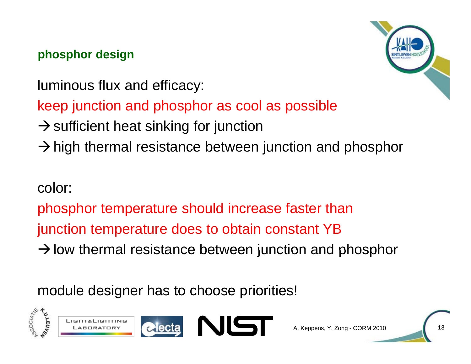## **phosphor design**

luminous flux and efficacy:

keep junction and phosphor as cool as possible

- $\rightarrow$  sufficient heat sinking for junction
- $\rightarrow$  high thermal resistance between junction and phosphor

# color:

phosphor temperature should increase faster than junction temperature does to obtain constant YB

 $\rightarrow$  low thermal resistance between junction and phosphor

module designer has to choose priorities!

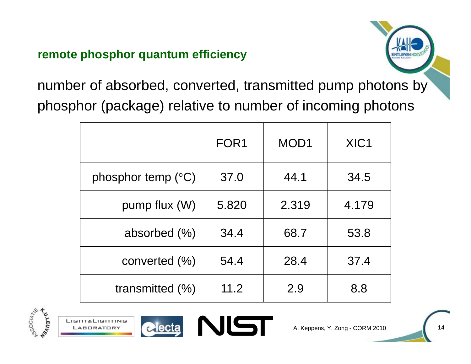### **remote phosphor quantum efficiency**



number of absorbed, converted, transmitted pump photons by phosphor (package) relative to number of incoming photons

|                             | FOR <sub>1</sub> | MOD <sub>1</sub> | XIC <sub>1</sub> |
|-----------------------------|------------------|------------------|------------------|
| phosphor temp $(^{\circ}C)$ | 37.0             | 44.1             | 34.5             |
| pump flux (W)               | 5.820            | 2.319            | 4.179            |
| absorbed $(\% )$            | 34.4             | 68.7             | 53.8             |
| converted $(\% )$           | 54.4             | 28.4             | 37.4             |
| transmitted $(\% )$         | 11.2             | 2.9              | 8.8              |





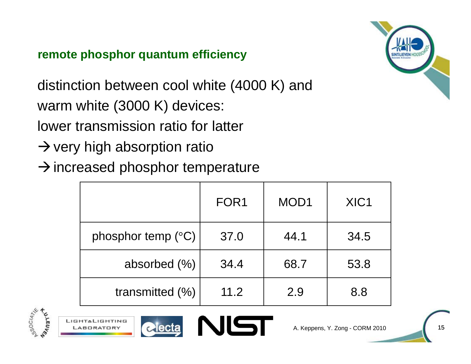### **remote phosphor quantum efficiency**

distinction between cool white (4000 K) and warm white (3000 K) devices:

lower transmission ratio for latter

 $\rightarrow$  very high absorption ratio

 $\rightarrow$  increased phosphor temperature

|                             | FOR <sub>1</sub> | MOD <sub>1</sub> | XIC <sub>1</sub> |
|-----------------------------|------------------|------------------|------------------|
| phosphor temp $(^{\circ}C)$ | 37.0             | 44.1             | 34.5             |
| absorbed $(\% )$            | 34.4             | 68.7             | 53.8             |
| transmitted $(\%)$          | 11.2             | 2.9              | 8.8              |









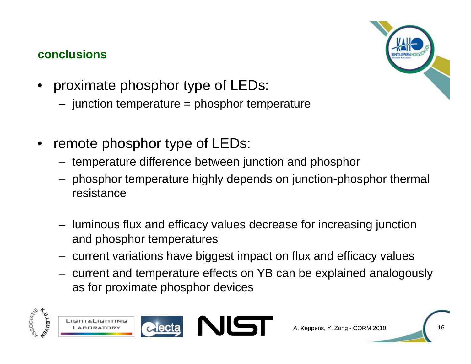### **conclusions**



- proximate phosphor type of LEDs:
	- –junction temperature = phosphor temperature
- • remote phosphor type of LEDs:
	- – $-$  temperature difference between junction and phosphor
	- – phosphor temperature highly depends on junction-phosphor thermal resistance
	- – luminous flux and efficacy values decrease for increasing junction and phosphor temperatures
	- – $-$  current variations have biggest impact on flux and efficacy values
	- – current and temperature effects on YB can be explained analogously as for proximate phosphor devices

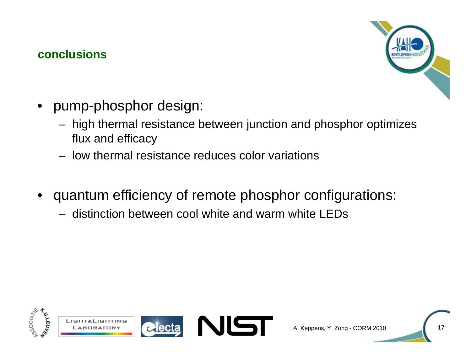#### **conclusions**



- $\bullet\;$  pump-phosphor design:
	- – high thermal resistance between junction and phosphor optimizes flux and efficacy
	- $-$  low thermal resistance reduces color variations
- • quantum efficiency of remote phosphor configurations:
	- distinction between cool white and warm white LEDs